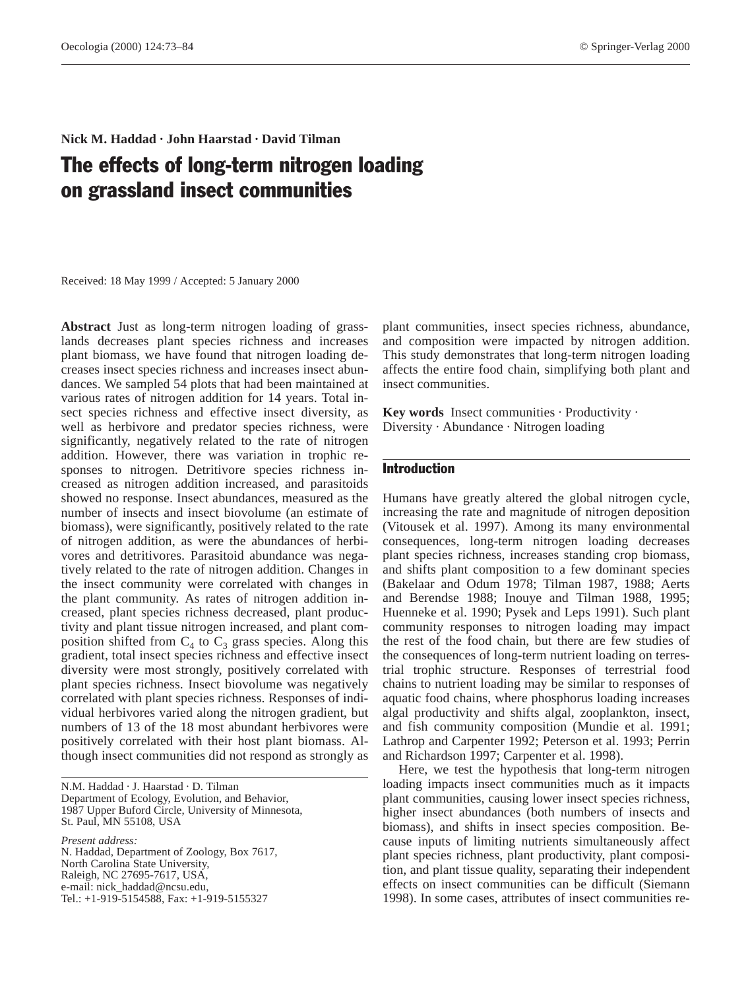# **Nick M. Haddad · John Haarstad · David Tilman** The effects of long-term nitrogen loading on grassland insect communities

Received: 18 May 1999 / Accepted: 5 January 2000

**Abstract** Just as long-term nitrogen loading of grasslands decreases plant species richness and increases plant biomass, we have found that nitrogen loading decreases insect species richness and increases insect abundances. We sampled 54 plots that had been maintained at various rates of nitrogen addition for 14 years. Total insect species richness and effective insect diversity, as well as herbivore and predator species richness, were significantly, negatively related to the rate of nitrogen addition. However, there was variation in trophic responses to nitrogen. Detritivore species richness increased as nitrogen addition increased, and parasitoids showed no response. Insect abundances, measured as the number of insects and insect biovolume (an estimate of biomass), were significantly, positively related to the rate of nitrogen addition, as were the abundances of herbivores and detritivores. Parasitoid abundance was negatively related to the rate of nitrogen addition. Changes in the insect community were correlated with changes in the plant community. As rates of nitrogen addition increased, plant species richness decreased, plant productivity and plant tissue nitrogen increased, and plant composition shifted from  $C_4$  to  $C_3$  grass species. Along this gradient, total insect species richness and effective insect diversity were most strongly, positively correlated with plant species richness. Insect biovolume was negatively correlated with plant species richness. Responses of individual herbivores varied along the nitrogen gradient, but numbers of 13 of the 18 most abundant herbivores were positively correlated with their host plant biomass. Although insect communities did not respond as strongly as

N.M. Haddad · J. Haarstad · D. Tilman Department of Ecology, Evolution, and Behavior, 1987 Upper Buford Circle, University of Minnesota, St. Paul, MN 55108, USA

*Present address:*

N. Haddad, Department of Zoology, Box 7617, North Carolina State University, Raleigh, NC 27695-7617, USA, e-mail: nick\_haddad@ncsu.edu, Tel.: +1-919-5154588, Fax: +1-919-5155327

plant communities, insect species richness, abundance, and composition were impacted by nitrogen addition. This study demonstrates that long-term nitrogen loading affects the entire food chain, simplifying both plant and insect communities.

**Key words** Insect communities · Productivity · Diversity · Abundance · Nitrogen loading

## Introduction

Humans have greatly altered the global nitrogen cycle, increasing the rate and magnitude of nitrogen deposition (Vitousek et al. 1997). Among its many environmental consequences, long-term nitrogen loading decreases plant species richness, increases standing crop biomass, and shifts plant composition to a few dominant species (Bakelaar and Odum 1978; Tilman 1987, 1988; Aerts and Berendse 1988; Inouye and Tilman 1988, 1995; Huenneke et al. 1990; Pysek and Leps 1991). Such plant community responses to nitrogen loading may impact the rest of the food chain, but there are few studies of the consequences of long-term nutrient loading on terrestrial trophic structure. Responses of terrestrial food chains to nutrient loading may be similar to responses of aquatic food chains, where phosphorus loading increases algal productivity and shifts algal, zooplankton, insect, and fish community composition (Mundie et al. 1991; Lathrop and Carpenter 1992; Peterson et al. 1993; Perrin and Richardson 1997; Carpenter et al. 1998).

Here, we test the hypothesis that long-term nitrogen loading impacts insect communities much as it impacts plant communities, causing lower insect species richness, higher insect abundances (both numbers of insects and biomass), and shifts in insect species composition. Because inputs of limiting nutrients simultaneously affect plant species richness, plant productivity, plant composition, and plant tissue quality, separating their independent effects on insect communities can be difficult (Siemann 1998). In some cases, attributes of insect communities re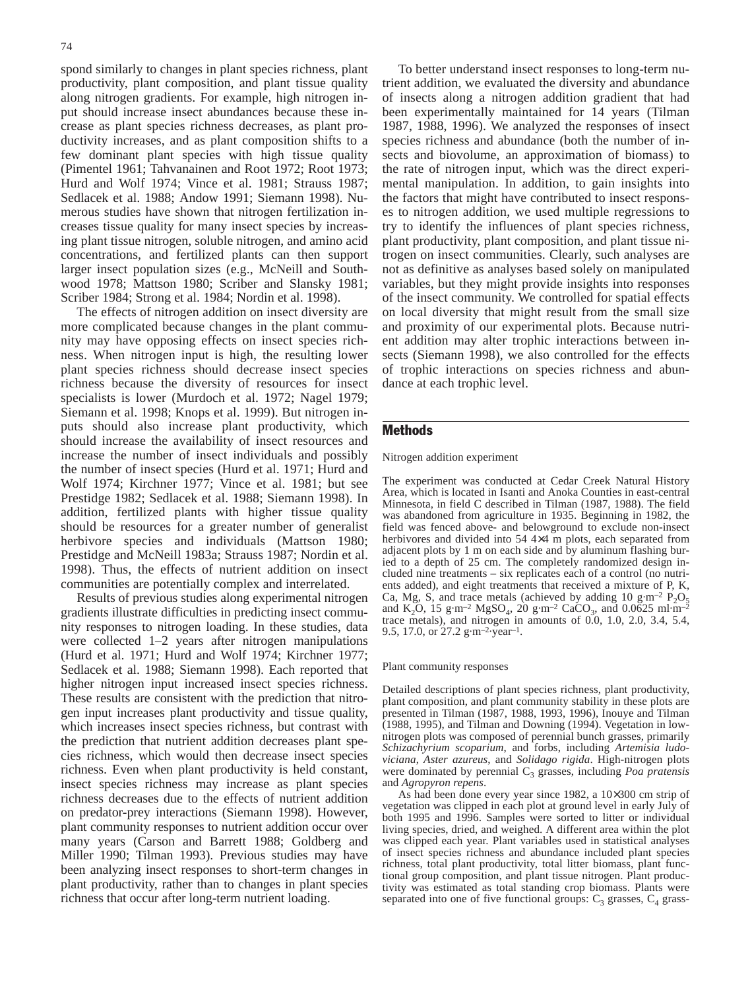spond similarly to changes in plant species richness, plant productivity, plant composition, and plant tissue quality along nitrogen gradients. For example, high nitrogen input should increase insect abundances because these increase as plant species richness decreases, as plant productivity increases, and as plant composition shifts to a few dominant plant species with high tissue quality (Pimentel 1961; Tahvanainen and Root 1972; Root 1973; Hurd and Wolf 1974; Vince et al. 1981; Strauss 1987; Sedlacek et al. 1988; Andow 1991; Siemann 1998). Numerous studies have shown that nitrogen fertilization increases tissue quality for many insect species by increasing plant tissue nitrogen, soluble nitrogen, and amino acid concentrations, and fertilized plants can then support larger insect population sizes (e.g., McNeill and Southwood 1978; Mattson 1980; Scriber and Slansky 1981; Scriber 1984; Strong et al. 1984; Nordin et al. 1998).

The effects of nitrogen addition on insect diversity are more complicated because changes in the plant community may have opposing effects on insect species richness. When nitrogen input is high, the resulting lower plant species richness should decrease insect species richness because the diversity of resources for insect specialists is lower (Murdoch et al. 1972; Nagel 1979; Siemann et al. 1998; Knops et al. 1999). But nitrogen inputs should also increase plant productivity, which should increase the availability of insect resources and increase the number of insect individuals and possibly the number of insect species (Hurd et al. 1971; Hurd and Wolf 1974; Kirchner 1977; Vince et al. 1981; but see Prestidge 1982; Sedlacek et al. 1988; Siemann 1998). In addition, fertilized plants with higher tissue quality should be resources for a greater number of generalist herbivore species and individuals (Mattson 1980; Prestidge and McNeill 1983a; Strauss 1987; Nordin et al. 1998). Thus, the effects of nutrient addition on insect communities are potentially complex and interrelated.

Results of previous studies along experimental nitrogen gradients illustrate difficulties in predicting insect community responses to nitrogen loading. In these studies, data were collected 1–2 years after nitrogen manipulations (Hurd et al. 1971; Hurd and Wolf 1974; Kirchner 1977; Sedlacek et al. 1988; Siemann 1998). Each reported that higher nitrogen input increased insect species richness. These results are consistent with the prediction that nitrogen input increases plant productivity and tissue quality, which increases insect species richness, but contrast with the prediction that nutrient addition decreases plant species richness, which would then decrease insect species richness. Even when plant productivity is held constant, insect species richness may increase as plant species richness decreases due to the effects of nutrient addition on predator-prey interactions (Siemann 1998). However, plant community responses to nutrient addition occur over many years (Carson and Barrett 1988; Goldberg and Miller 1990; Tilman 1993). Previous studies may have been analyzing insect responses to short-term changes in plant productivity, rather than to changes in plant species richness that occur after long-term nutrient loading.

To better understand insect responses to long-term nutrient addition, we evaluated the diversity and abundance of insects along a nitrogen addition gradient that had been experimentally maintained for 14 years (Tilman 1987, 1988, 1996). We analyzed the responses of insect species richness and abundance (both the number of insects and biovolume, an approximation of biomass) to the rate of nitrogen input, which was the direct experimental manipulation. In addition, to gain insights into the factors that might have contributed to insect responses to nitrogen addition, we used multiple regressions to try to identify the influences of plant species richness, plant productivity, plant composition, and plant tissue nitrogen on insect communities. Clearly, such analyses are not as definitive as analyses based solely on manipulated variables, but they might provide insights into responses of the insect community. We controlled for spatial effects on local diversity that might result from the small size and proximity of our experimental plots. Because nutrient addition may alter trophic interactions between insects (Siemann 1998), we also controlled for the effects of trophic interactions on species richness and abundance at each trophic level.

## **Methods**

#### Nitrogen addition experiment

The experiment was conducted at Cedar Creek Natural History Area, which is located in Isanti and Anoka Counties in east-central Minnesota, in field C described in Tilman (1987, 1988). The field was abandoned from agriculture in 1935. Beginning in 1982, the field was fenced above- and belowground to exclude non-insect herbivores and divided into 54 4×4 m plots, each separated from adjacent plots by 1 m on each side and by aluminum flashing buried to a depth of 25 cm. The completely randomized design included nine treatments – six replicates each of a control (no nutrients added), and eight treatments that received a mixture of P, K, Ca, Mg, S, and trace metals (achieved by adding 10 g·m<sup>-2</sup>  $P_2O_5$ ) and K<sub>2</sub>O, 15 g·m<sup>-2</sup> MgSO<sub>4</sub>, 20 g·m<sup>-2</sup> CaCO<sub>3</sub>, and 0.0625 ml·m<sup>-2</sup> trace metals), and nitrogen in amounts of 0.0, 1.0, 2.0, 3.4, 5.4, 9.5, 17.0, or 27.2 g·m<sup>-2</sup>·year<sup>-1</sup>.

#### Plant community responses

Detailed descriptions of plant species richness, plant productivity, plant composition, and plant community stability in these plots are presented in Tilman (1987, 1988, 1993, 1996), Inouye and Tilman (1988, 1995), and Tilman and Downing (1994). Vegetation in lownitrogen plots was composed of perennial bunch grasses, primarily *Schizachyrium scoparium*, and forbs, including *Artemisia ludoviciana*, *Aster azureus*, and *Solidago rigida*. High-nitrogen plots were dominated by perennial C<sub>3</sub> grasses, including *Poa pratensis* and *Agropyron repens*.

As had been done every year since 1982, a 10×300 cm strip of vegetation was clipped in each plot at ground level in early July of both 1995 and 1996. Samples were sorted to litter or individual living species, dried, and weighed. A different area within the plot was clipped each year. Plant variables used in statistical analyses of insect species richness and abundance included plant species richness, total plant productivity, total litter biomass, plant functional group composition, and plant tissue nitrogen. Plant productivity was estimated as total standing crop biomass. Plants were separated into one of five functional groups:  $C_3$  grasses,  $C_4$  grass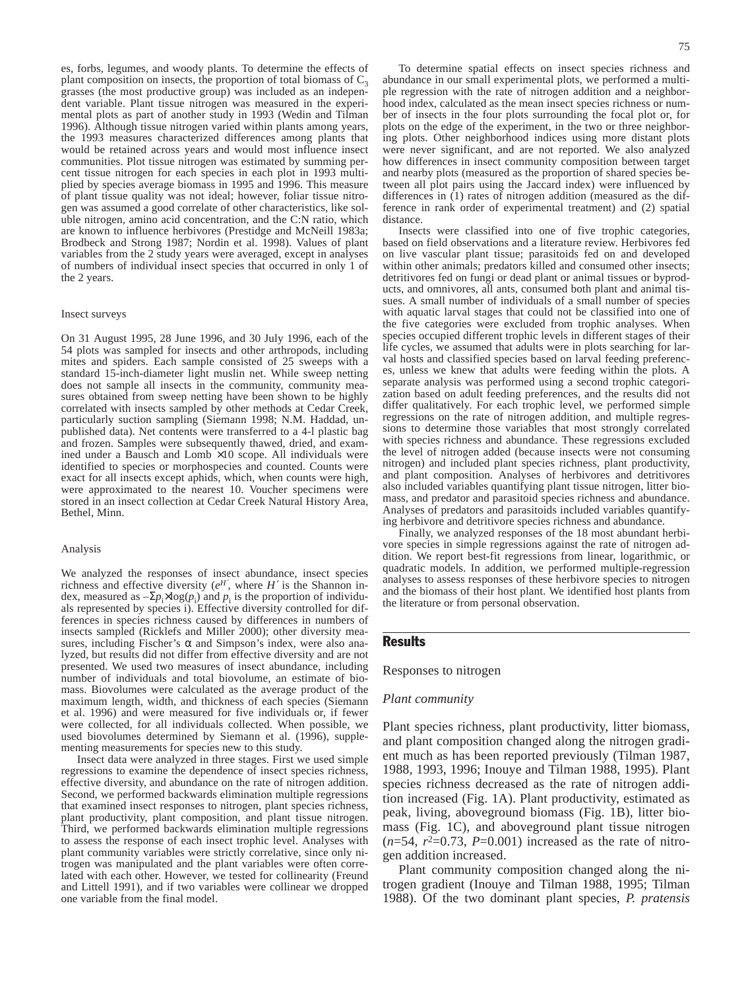es, forbs, legumes, and woody plants. To determine the effects of plant composition on insects, the proportion of total biomass of  $C_3$ grasses (the most productive group) was included as an independent variable. Plant tissue nitrogen was measured in the experimental plots as part of another study in 1993 (Wedin and Tilman 1996). Although tissue nitrogen varied within plants among years, the 1993 measures characterized differences among plants that would be retained across years and would most influence insect communities. Plot tissue nitrogen was estimated by summing percent tissue nitrogen for each species in each plot in 1993 multiplied by species average biomass in 1995 and 1996. This measure of plant tissue quality was not ideal; however, foliar tissue nitrogen was assumed a good correlate of other characteristics, like soluble nitrogen, amino acid concentration, and the C:N ratio, which are known to influence herbivores (Prestidge and McNeill 1983a; Brodbeck and Strong 1987; Nordin et al. 1998). Values of plant variables from the 2 study years were averaged, except in analyses of numbers of individual insect species that occurred in only 1 of the 2 years.

#### Insect surveys

On 31 August 1995, 28 June 1996, and 30 July 1996, each of the 54 plots was sampled for insects and other arthropods, including mites and spiders. Each sample consisted of 25 sweeps with a standard 15-inch-diameter light muslin net. While sweep netting does not sample all insects in the community, community measures obtained from sweep netting have been shown to be highly correlated with insects sampled by other methods at Cedar Creek, particularly suction sampling (Siemann 1998; N.M. Haddad, unpublished data). Net contents were transferred to a 4-l plastic bag and frozen. Samples were subsequently thawed, dried, and examined under a Bausch and Lomb  $\times$ 10 scope. All individuals were identified to species or morphospecies and counted. Counts were exact for all insects except aphids, which, when counts were high, were approximated to the nearest 10. Voucher specimens were stored in an insect collection at Cedar Creek Natural History Area, Bethel, Minn.

#### Analysis

We analyzed the responses of insect abundance, insect species richness and effective diversity  $(e^{H'}$ , where  $H'$  is the Shannon index, measured as  $-\Sigma p_i \times \log(p_i)$  and  $p_i$  is the proportion of individuals represented by species i). Effective diversity controlled for differences in species richness caused by differences in numbers of insects sampled (Ricklefs and Miller 2000); other diversity measures, including Fischer's  $\alpha$  and Simpson's index, were also analyzed, but results did not differ from effective diversity and are not presented. We used two measures of insect abundance, including number of individuals and total biovolume, an estimate of biomass. Biovolumes were calculated as the average product of the maximum length, width, and thickness of each species (Siemann et al. 1996) and were measured for five individuals or, if fewer were collected, for all individuals collected. When possible, we used biovolumes determined by Siemann et al. (1996), supplementing measurements for species new to this study.

Insect data were analyzed in three stages. First we used simple regressions to examine the dependence of insect species richness, effective diversity, and abundance on the rate of nitrogen addition. Second, we performed backwards elimination multiple regressions that examined insect responses to nitrogen, plant species richness, plant productivity, plant composition, and plant tissue nitrogen. Third, we performed backwards elimination multiple regressions to assess the response of each insect trophic level. Analyses with plant community variables were strictly correlative, since only nitrogen was manipulated and the plant variables were often correlated with each other. However, we tested for collinearity (Freund and Littell 1991), and if two variables were collinear we dropped one variable from the final model.

To determine spatial effects on insect species richness and abundance in our small experimental plots, we performed a multiple regression with the rate of nitrogen addition and a neighborhood index, calculated as the mean insect species richness or number of insects in the four plots surrounding the focal plot or, for plots on the edge of the experiment, in the two or three neighboring plots. Other neighborhood indices using more distant plots were never significant, and are not reported. We also analyzed how differences in insect community composition between target and nearby plots (measured as the proportion of shared species between all plot pairs using the Jaccard index) were influenced by differences in (1) rates of nitrogen addition (measured as the difference in rank order of experimental treatment) and (2) spatial distance.

Insects were classified into one of five trophic categories, based on field observations and a literature review. Herbivores fed on live vascular plant tissue; parasitoids fed on and developed within other animals; predators killed and consumed other insects; detritivores fed on fungi or dead plant or animal tissues or byproducts, and omnivores, all ants, consumed both plant and animal tissues. A small number of individuals of a small number of species with aquatic larval stages that could not be classified into one of the five categories were excluded from trophic analyses. When species occupied different trophic levels in different stages of their life cycles, we assumed that adults were in plots searching for larval hosts and classified species based on larval feeding preferences, unless we knew that adults were feeding within the plots. A separate analysis was performed using a second trophic categorization based on adult feeding preferences, and the results did not differ qualitatively. For each trophic level, we performed simple regressions on the rate of nitrogen addition, and multiple regressions to determine those variables that most strongly correlated with species richness and abundance. These regressions excluded the level of nitrogen added (because insects were not consuming nitrogen) and included plant species richness, plant productivity, and plant composition. Analyses of herbivores and detritivores also included variables quantifying plant tissue nitrogen, litter biomass, and predator and parasitoid species richness and abundance. Analyses of predators and parasitoids included variables quantifying herbivore and detritivore species richness and abundance.

Finally, we analyzed responses of the 18 most abundant herbivore species in simple regressions against the rate of nitrogen addition. We report best-fit regressions from linear, logarithmic, or quadratic models. In addition, we performed multiple-regression analyses to assess responses of these herbivore species to nitrogen and the biomass of their host plant. We identified host plants from the literature or from personal observation.

## Results

Responses to nitrogen

#### *Plant community*

Plant species richness, plant productivity, litter biomass, and plant composition changed along the nitrogen gradient much as has been reported previously (Tilman 1987, 1988, 1993, 1996; Inouye and Tilman 1988, 1995). Plant species richness decreased as the rate of nitrogen addition increased (Fig. 1A). Plant productivity, estimated as peak, living, aboveground biomass (Fig. 1B), litter biomass (Fig. 1C), and aboveground plant tissue nitrogen  $(n=54, r^2=0.73, P=0.001)$  increased as the rate of nitrogen addition increased.

Plant community composition changed along the nitrogen gradient (Inouye and Tilman 1988, 1995; Tilman 1988). Of the two dominant plant species, *P. pratensis*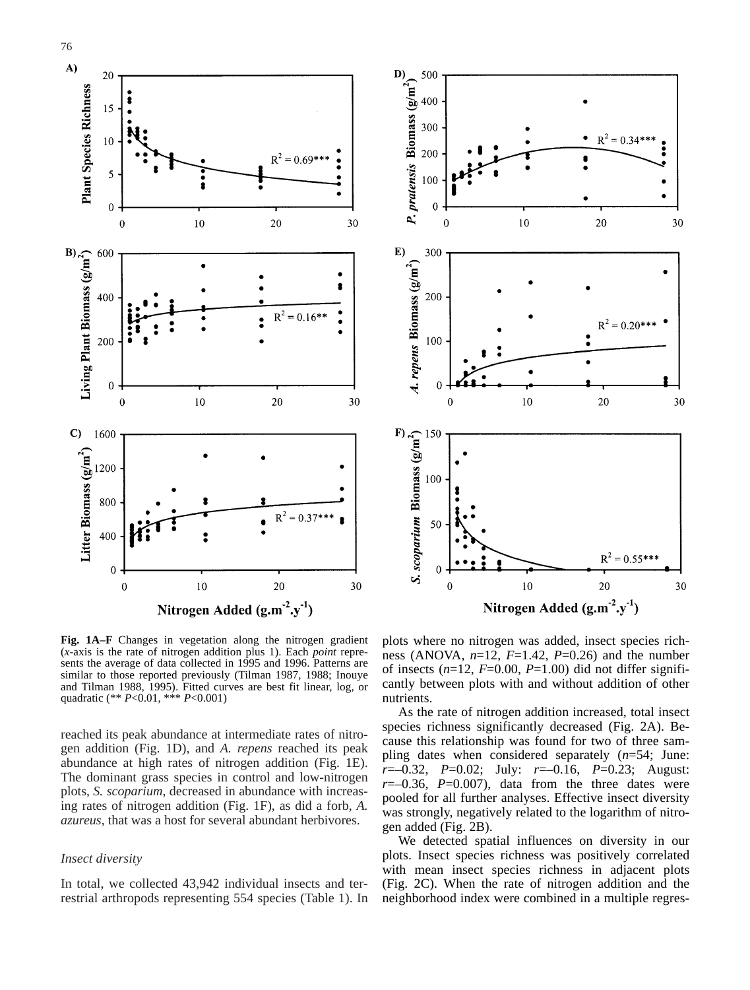



**Fig. 1A–F** Changes in vegetation along the nitrogen gradient (*x*-axis is the rate of nitrogen addition plus 1). Each *point* represents the average of data collected in 1995 and 1996. Patterns are similar to those reported previously (Tilman 1987, 1988; Inouye and Tilman 1988, 1995). Fitted curves are best fit linear, log, or quadratic (\*\* *P*<0.01, \*\*\* *P*<0.001)

reached its peak abundance at intermediate rates of nitrogen addition (Fig. 1D), and *A. repens* reached its peak abundance at high rates of nitrogen addition (Fig. 1E). The dominant grass species in control and low-nitrogen plots, *S. scoparium*, decreased in abundance with increasing rates of nitrogen addition (Fig. 1F), as did a forb, *A. azureus*, that was a host for several abundant herbivores.

## *Insect diversity*

In total, we collected 43,942 individual insects and terrestrial arthropods representing 554 species (Table 1). In plots where no nitrogen was added, insect species richness (ANOVA,  $n=12$ ,  $F=1.42$ ,  $P=0.26$ ) and the number of insects  $(n=12, F=0.00, P=1.00)$  did not differ significantly between plots with and without addition of other nutrients.

As the rate of nitrogen addition increased, total insect species richness significantly decreased (Fig. 2A). Because this relationship was found for two of three sampling dates when considered separately (*n*=54; June: *r*=–0.32, *P*=0.02; July: *r*=–0.16, *P*=0.23; August:  $r=-0.36$ ,  $P=0.007$ , data from the three dates were pooled for all further analyses. Effective insect diversity was strongly, negatively related to the logarithm of nitrogen added (Fig. 2B).

We detected spatial influences on diversity in our plots. Insect species richness was positively correlated with mean insect species richness in adjacent plots (Fig. 2C). When the rate of nitrogen addition and the neighborhood index were combined in a multiple regres-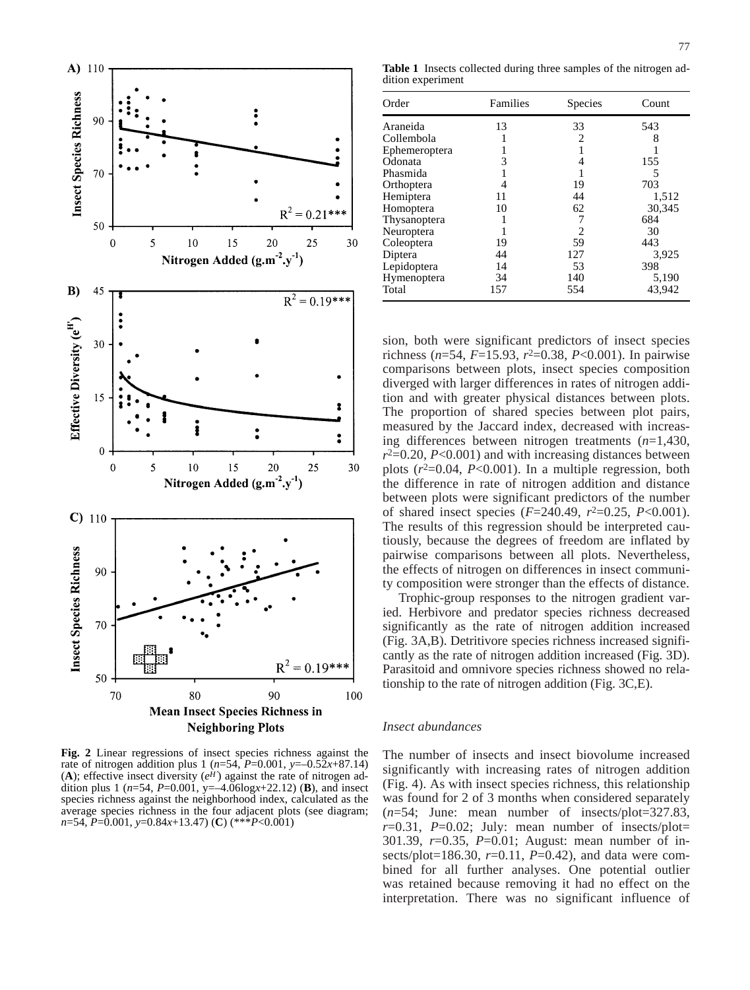

**Fig. 2** Linear regressions of insect species richness against the rate of nitrogen addition plus 1 ( $n=54$ ,  $P=0.001$ ,  $y=-0.52x+87.14$ ) (A); effective insect diversity  $(e^H)$  against the rate of nitrogen addition plus 1 (*n*=54, *P*=0.001, y=–4.06log*x*+22.12) (**B**), and insect species richness against the neighborhood index, calculated as the average species richness in the four adjacent plots (see diagram; *n*=54, *P*=0.001, *y*=0.84*x*+13.47) (**C**) (\*\*\**P*<0.001)

**Table 1** Insects collected during three samples of the nitrogen addition experiment

| Order         | Families | Species | Count  |  |
|---------------|----------|---------|--------|--|
| Araneida      | 13       | 33      | 543    |  |
| Collembola    |          | 2       | 8      |  |
| Ephemeroptera |          |         |        |  |
| Odonata       | 3        | 4       | 155    |  |
| Phasmida      |          |         | 5      |  |
| Orthoptera    | 4        | 19      | 703    |  |
| Hemiptera     | 11       | 44      | 1,512  |  |
| Homoptera     | 10       | 62      | 30,345 |  |
| Thysanoptera  |          | 7       | 684    |  |
| Neuroptera    |          | 2       | 30     |  |
| Coleoptera    | 19       | 59      | 443    |  |
| Diptera       | 44       | 127     | 3,925  |  |
| Lepidoptera   | 14       | 53      | 398    |  |
| Hymenoptera   | 34       | 140     | 5,190  |  |
| Total         | 157      | 554     | 43,942 |  |

sion, both were significant predictors of insect species richness (*n*=54, *F*=15.93, *r*2=0.38, *P*<0.001). In pairwise comparisons between plots, insect species composition diverged with larger differences in rates of nitrogen addition and with greater physical distances between plots. The proportion of shared species between plot pairs, measured by the Jaccard index, decreased with increasing differences between nitrogen treatments (*n*=1,430,  $r^2$ =0.20, *P*<0.001) and with increasing distances between plots  $(r^2=0.04, P<0.001)$ . In a multiple regression, both the difference in rate of nitrogen addition and distance between plots were significant predictors of the number of shared insect species (*F*=240.49, *r*2=0.25, *P*<0.001). The results of this regression should be interpreted cautiously, because the degrees of freedom are inflated by pairwise comparisons between all plots. Nevertheless, the effects of nitrogen on differences in insect community composition were stronger than the effects of distance.

Trophic-group responses to the nitrogen gradient varied. Herbivore and predator species richness decreased significantly as the rate of nitrogen addition increased (Fig. 3A,B). Detritivore species richness increased significantly as the rate of nitrogen addition increased (Fig. 3D). Parasitoid and omnivore species richness showed no relationship to the rate of nitrogen addition (Fig. 3C,E).

## *Insect abundances*

The number of insects and insect biovolume increased significantly with increasing rates of nitrogen addition (Fig. 4). As with insect species richness, this relationship was found for 2 of 3 months when considered separately (*n*=54; June: mean number of insects/plot=327.83,  $r=0.31$ ,  $P=0.02$ ; July: mean number of insects/plot= 301.39, *r*=0.35, *P*=0.01; August: mean number of insects/plot=186.30, *r*=0.11, *P*=0.42), and data were combined for all further analyses. One potential outlier was retained because removing it had no effect on the interpretation. There was no significant influence of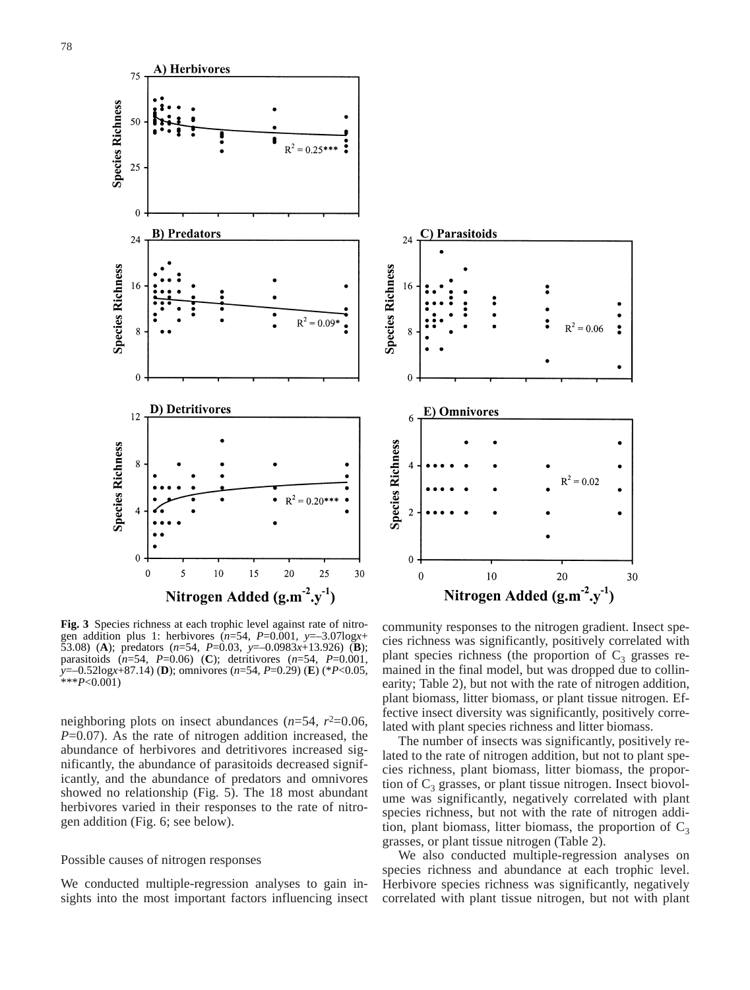



**Fig. 3** Species richness at each trophic level against rate of nitrogen addition plus 1: herbivores (*n*=54, *P*=0.001, *y*=–3.07log*x*+ 53.08) (**A**); predators (*n*=54, *P*=0.03, *y*=–0.0983*x*+13.926) (**B**); parasitoids (*n*=54, *P*=0.06) (**C**); detritivores (*n*=54, *P*=0.001, *y*=–0.52log*x*+87.14) (**D**); omnivores (*n*=54, *P*=0.29) (**E**) (\**P*<0.05, \*\*\**P*<0.001)

neighboring plots on insect abundances  $(n=54, r^2=0.06,$ *P*=0.07). As the rate of nitrogen addition increased, the abundance of herbivores and detritivores increased significantly, the abundance of parasitoids decreased significantly, and the abundance of predators and omnivores showed no relationship (Fig. 5). The 18 most abundant herbivores varied in their responses to the rate of nitrogen addition (Fig. 6; see below).

## Possible causes of nitrogen responses

We conducted multiple-regression analyses to gain insights into the most important factors influencing insect

community responses to the nitrogen gradient. Insect species richness was significantly, positively correlated with plant species richness (the proportion of  $C_3$  grasses remained in the final model, but was dropped due to collinearity; Table 2), but not with the rate of nitrogen addition, plant biomass, litter biomass, or plant tissue nitrogen. Effective insect diversity was significantly, positively correlated with plant species richness and litter biomass.

The number of insects was significantly, positively related to the rate of nitrogen addition, but not to plant species richness, plant biomass, litter biomass, the proportion of  $C_3$  grasses, or plant tissue nitrogen. Insect biovolume was significantly, negatively correlated with plant species richness, but not with the rate of nitrogen addition, plant biomass, litter biomass, the proportion of  $C_3$ grasses, or plant tissue nitrogen (Table 2).

We also conducted multiple-regression analyses on species richness and abundance at each trophic level. Herbivore species richness was significantly, negatively correlated with plant tissue nitrogen, but not with plant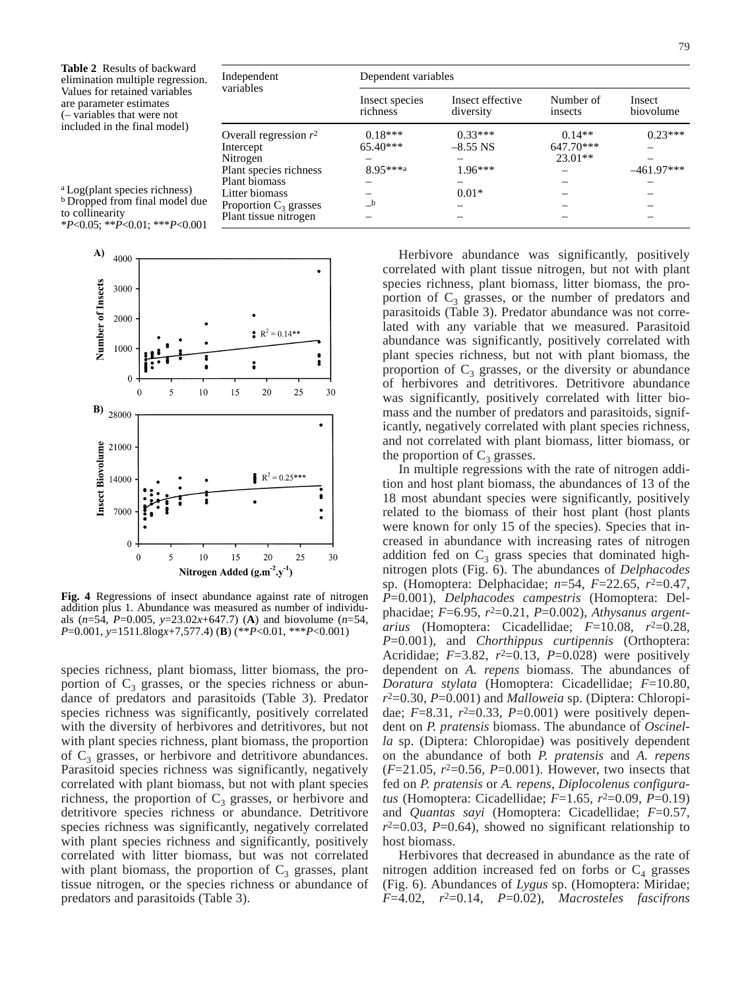| <b>Table 2</b> Results of backward<br>elimination multiple regression.                                                                                               | Independent                           | Dependent variables        |                               |                         |                     |  |
|----------------------------------------------------------------------------------------------------------------------------------------------------------------------|---------------------------------------|----------------------------|-------------------------------|-------------------------|---------------------|--|
| Values for retained variables<br>are parameter estimates<br>$(-$ variables that were not                                                                             | variables                             | Insect species<br>richness | Insect effective<br>diversity | Number of<br>insects    | Insect<br>biovolume |  |
| included in the final model)<br><sup>a</sup> Log(plant species richness)<br>b Dropped from final model due<br>to collinearity<br>$*P<0.05$ ; $*P<0.01$ ; $**P<0.001$ | Overall regression $r^2$<br>Intercept | $0.18***$<br>$65.40***$    | $0.33***$<br>$-8.55$ NS       | $0.14**$<br>$647.70***$ | $0.23***$           |  |
|                                                                                                                                                                      | Nitrogen                              |                            |                               | $23.01**$               |                     |  |
|                                                                                                                                                                      | Plant species richness                | 8.95***a                   | $1.96***$                     |                         | $-461.97***$        |  |
|                                                                                                                                                                      | Plant biomass                         |                            |                               |                         |                     |  |
|                                                                                                                                                                      | Litter biomass                        |                            | $0.01*$                       |                         |                     |  |
|                                                                                                                                                                      | Proportion $C_3$ grasses              | $_{\rm b}$                 |                               |                         |                     |  |
|                                                                                                                                                                      | Plant tissue nitrogen                 |                            |                               |                         |                     |  |



\**P*<0.05; \*\**P*<0.01; \*\*\**P*<0.001

**Fig. 4** Regressions of insect abundance against rate of nitrogen addition plus 1. Abundance was measured as number of individuals (*n*=54, *P*=0.005, *y*=23.02*x*+647.7) (**A**) and biovolume (*n*=54, *P*=0.001, *y*=1511.8log*x*+7,577.4) (**B**) (\*\**P*<0.01, \*\*\**P*<0.001)

species richness, plant biomass, litter biomass, the proportion of  $C_3$  grasses, or the species richness or abundance of predators and parasitoids (Table 3). Predator species richness was significantly, positively correlated with the diversity of herbivores and detritivores, but not with plant species richness, plant biomass, the proportion of  $C_3$  grasses, or herbivore and detritivore abundances. Parasitoid species richness was significantly, negatively correlated with plant biomass, but not with plant species richness, the proportion of  $C_3$  grasses, or herbivore and detritivore species richness or abundance. Detritivore species richness was significantly, negatively correlated with plant species richness and significantly, positively correlated with litter biomass, but was not correlated with plant biomass, the proportion of  $C_3$  grasses, plant tissue nitrogen, or the species richness or abundance of predators and parasitoids (Table 3).

Herbivore abundance was significantly, positively correlated with plant tissue nitrogen, but not with plant species richness, plant biomass, litter biomass, the proportion of  $C_3$  grasses, or the number of predators and parasitoids (Table 3). Predator abundance was not correlated with any variable that we measured. Parasitoid abundance was significantly, positively correlated with plant species richness, but not with plant biomass, the proportion of  $C_3$  grasses, or the diversity or abundance of herbivores and detritivores. Detritivore abundance was significantly, positively correlated with litter biomass and the number of predators and parasitoids, significantly, negatively correlated with plant species richness, and not correlated with plant biomass, litter biomass, or the proportion of  $C_3$  grasses.

In multiple regressions with the rate of nitrogen addition and host plant biomass, the abundances of 13 of the 18 most abundant species were significantly, positively related to the biomass of their host plant (host plants were known for only 15 of the species). Species that increased in abundance with increasing rates of nitrogen addition fed on  $C_3$  grass species that dominated highnitrogen plots (Fig. 6). The abundances of *Delphacodes* sp. (Homoptera: Delphacidae; *n*=54, *F*=22.65, *r*2=0.47, *P*=0.001), *Delphacodes campestris* (Homoptera: Delphacidae; *F*=6.95, *r*2=0.21, *P*=0.002), *Athysanus argentarius* (Homoptera: Cicadellidae; *F*=10.08, *r*2=0.28, *P*=0.001), and *Chorthippus curtipennis* (Orthoptera: Acrididae;  $F=3.82$ ,  $r^2=0.13$ ,  $P=0.028$ ) were positively dependent on *A. repens* biomass. The abundances of *Doratura stylata* (Homoptera: Cicadellidae; *F*=10.80, *r*2=0.30, *P*=0.001) and *Malloweia* sp. (Diptera: Chloropidae;  $F=8.31$ ,  $r^2=0.33$ ,  $P=0.001$ ) were positively dependent on *P. pratensis* biomass. The abundance of *Oscinella* sp. (Diptera: Chloropidae) was positively dependent on the abundance of both *P. pratensis* and *A. repens* (*F*=21.05, *r*2=0.56, *P*=0.001). However, two insects that fed on *P. pratensis* or *A. repens*, *Diplocolenus configuratus* (Homoptera: Cicadellidae; *F*=1.65, *r*2=0.09, *P*=0.19) and *Quantas sayi* (Homoptera: Cicadellidae; *F*=0.57,  $r^2=0.03$ ,  $P=0.64$ ), showed no significant relationship to host biomass.

Herbivores that decreased in abundance as the rate of nitrogen addition increased fed on forbs or  $C_4$  grasses (Fig. 6). Abundances of *Lygus* sp. (Homoptera: Miridae; *F*=4.02, *r*2=0.14, *P*=0.02), *Macrosteles fascifrons*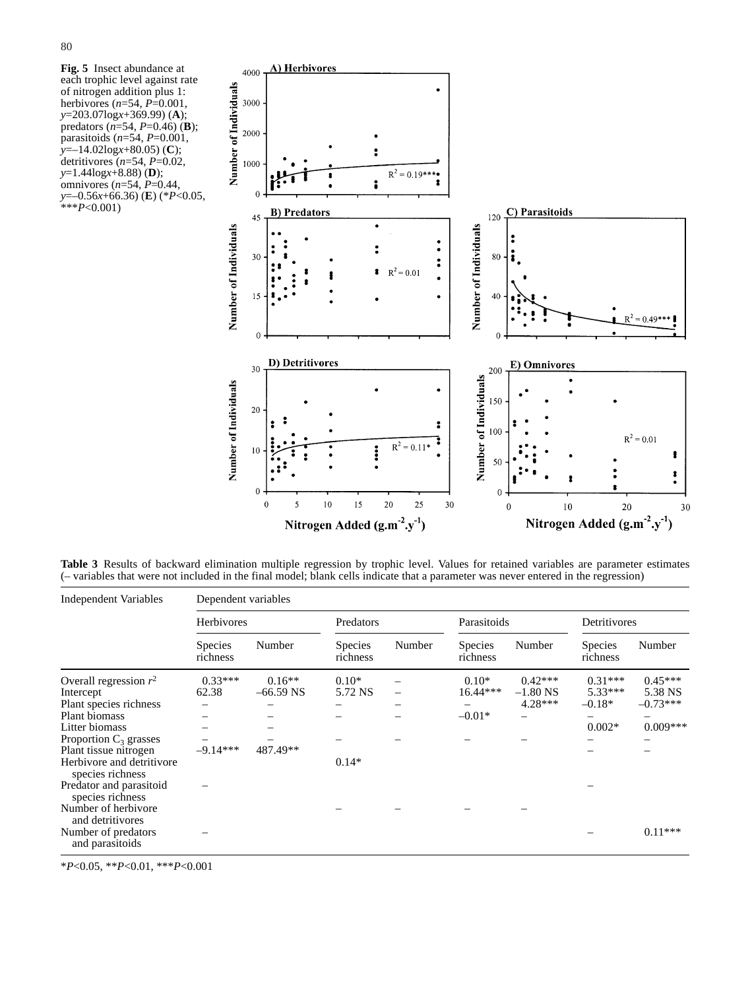**Fig. 5** Insect abundance at each trophic level against rate of nitrogen addition plus 1: herbivores (*n*=54, *P*=0.001, *y*=203.07log*x*+369.99) (**A**); predators (*n*=54, *P*=0.46) (**B**); parasitoids (*n*=54, *P*=0.001, *y*=–14.02log*x*+80.05) (**C**); detritivores (*n*=54, *P*=0.02, *y*=1.44log*x*+8.88) (**D**); omnivores (*n*=54, *P*=0.44, *y*=–0.56*x*+66.36) (**E**) (\**P*<0.05, \*\*\**P*<0.001)



**Table 3** Results of backward elimination multiple regression by trophic level. Values for retained variables are parameter estimates (– variables that were not included in the final model; blank cells indicate that a parameter was never entered in the regression)

| Independent Variables                         | Dependent variables        |             |                            |        |                            |            |                            |            |
|-----------------------------------------------|----------------------------|-------------|----------------------------|--------|----------------------------|------------|----------------------------|------------|
|                                               | Herbivores                 |             | Predators                  |        | Parasitoids                |            | Detritivores               |            |
|                                               | <b>Species</b><br>richness | Number      | <b>Species</b><br>richness | Number | <b>Species</b><br>richness | Number     | <b>Species</b><br>richness | Number     |
| Overall regression $r^2$                      | $0.33***$                  | $0.16**$    | $0.10*$                    |        | $0.10*$                    | $0.42***$  | $0.31***$                  | $0.45***$  |
| Intercept                                     | 62.38                      | $-66.59$ NS | 5.72 NS                    |        | $16.44***$                 | $-1.80$ NS | $5.33***$                  | 5.38 NS    |
| Plant species richness                        |                            |             |                            |        |                            | $4.28***$  | $-0.18*$                   | $-0.73***$ |
| Plant biomass                                 |                            |             |                            |        | $-0.01*$                   |            |                            |            |
| Litter biomass                                |                            |             |                            |        |                            |            | $0.002*$                   | $0.009***$ |
| Proportion $C_3$ grasses                      |                            |             |                            |        |                            |            |                            |            |
| Plant tissue nitrogen                         | $-9.14***$                 | 487.49**    |                            |        |                            |            |                            |            |
| Herbivore and detritivore<br>species richness |                            |             | $0.14*$                    |        |                            |            |                            |            |
| Predator and parasitoid<br>species richness   |                            |             |                            |        |                            |            |                            |            |
| Number of herbivore<br>and detritivores       |                            |             |                            |        |                            |            |                            |            |
| Number of predators<br>and parasitoids        |                            |             |                            |        |                            |            |                            | $0.11***$  |

\**P*<0.05, \*\**P*<0.01, \*\*\**P*<0.001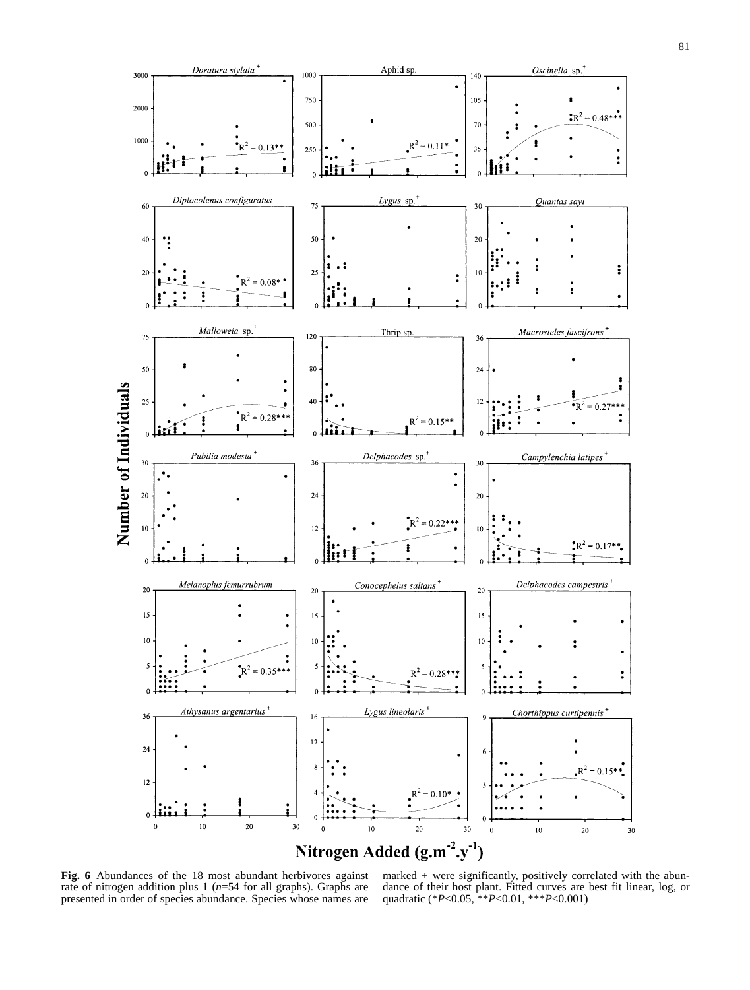

**Fig. 6** Abundances of the 18 most abundant herbivores against rate of nitrogen addition plus 1 ( $n=54$  for all graphs). Graphs are presented in order of species abundance. Species whose names are

marked *+* were significantly, positively correlated with the abundance of their host plant. Fitted curves are best fit linear, log, or quadratic (\**P*<0.05, \*\**P*<0.01, \*\*\**P*<0.001)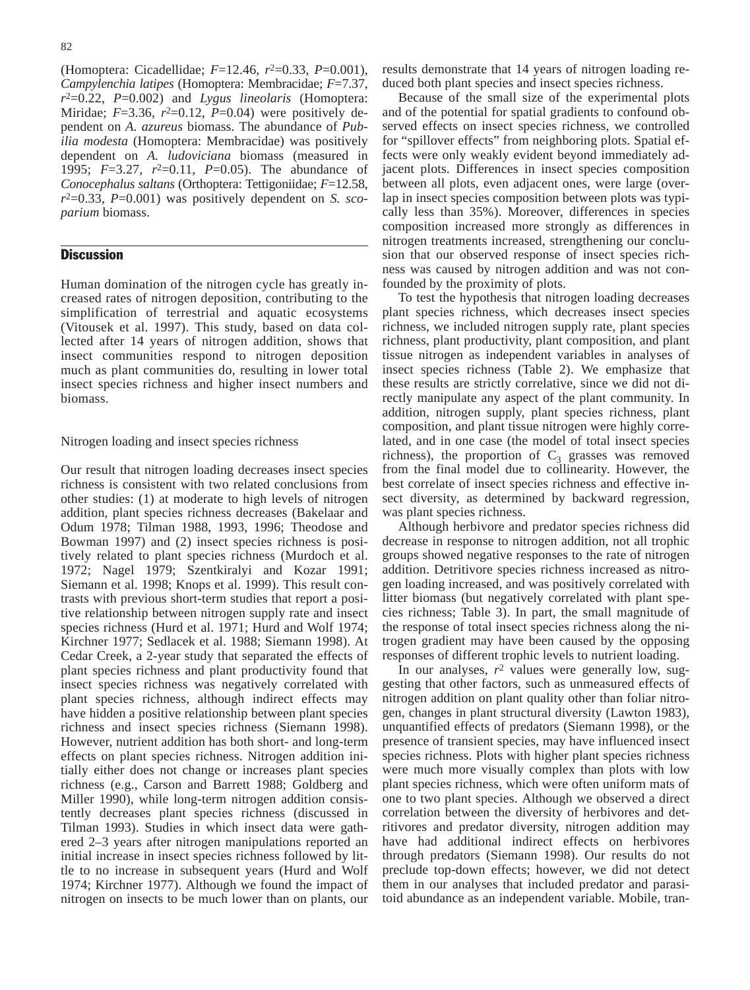(Homoptera: Cicadellidae; *F*=12.46, *r*2=0.33, *P*=0.001), *Campylenchia latipes* (Homoptera: Membracidae; *F*=7.37, *r*2=0.22, *P*=0.002) and *Lygus lineolaris* (Homoptera: Miridae;  $F=3.36$ ,  $r^2=0.12$ ,  $P=0.04$ ) were positively dependent on *A. azureus* biomass. The abundance of *Pubilia modesta* (Homoptera: Membracidae) was positively dependent on *A. ludoviciana* biomass (measured in 1995; *F*=3.27, *r*2=0.11, *P*=0.05). The abundance of *Conocephalus saltans* (Orthoptera: Tettigoniidae; *F*=12.58,  $r^2$ =0.33,  $P$ =0.001) was positively dependent on *S. scoparium* biomass.

# **Discussion**

Human domination of the nitrogen cycle has greatly increased rates of nitrogen deposition, contributing to the simplification of terrestrial and aquatic ecosystems (Vitousek et al. 1997). This study, based on data collected after 14 years of nitrogen addition, shows that insect communities respond to nitrogen deposition much as plant communities do, resulting in lower total insect species richness and higher insect numbers and biomass.

Nitrogen loading and insect species richness

Our result that nitrogen loading decreases insect species richness is consistent with two related conclusions from other studies: (1) at moderate to high levels of nitrogen addition, plant species richness decreases (Bakelaar and Odum 1978; Tilman 1988, 1993, 1996; Theodose and Bowman 1997) and (2) insect species richness is positively related to plant species richness (Murdoch et al. 1972; Nagel 1979; Szentkiralyi and Kozar 1991; Siemann et al. 1998; Knops et al. 1999). This result contrasts with previous short-term studies that report a positive relationship between nitrogen supply rate and insect species richness (Hurd et al. 1971; Hurd and Wolf 1974; Kirchner 1977; Sedlacek et al. 1988; Siemann 1998). At Cedar Creek, a 2-year study that separated the effects of plant species richness and plant productivity found that insect species richness was negatively correlated with plant species richness, although indirect effects may have hidden a positive relationship between plant species richness and insect species richness (Siemann 1998). However, nutrient addition has both short- and long-term effects on plant species richness. Nitrogen addition initially either does not change or increases plant species richness (e.g., Carson and Barrett 1988; Goldberg and Miller 1990), while long-term nitrogen addition consistently decreases plant species richness (discussed in Tilman 1993). Studies in which insect data were gathered 2–3 years after nitrogen manipulations reported an initial increase in insect species richness followed by little to no increase in subsequent years (Hurd and Wolf 1974; Kirchner 1977). Although we found the impact of nitrogen on insects to be much lower than on plants, our results demonstrate that 14 years of nitrogen loading reduced both plant species and insect species richness.

Because of the small size of the experimental plots and of the potential for spatial gradients to confound observed effects on insect species richness, we controlled for "spillover effects" from neighboring plots. Spatial effects were only weakly evident beyond immediately adjacent plots. Differences in insect species composition between all plots, even adjacent ones, were large (overlap in insect species composition between plots was typically less than 35%). Moreover, differences in species composition increased more strongly as differences in nitrogen treatments increased, strengthening our conclusion that our observed response of insect species richness was caused by nitrogen addition and was not confounded by the proximity of plots.

To test the hypothesis that nitrogen loading decreases plant species richness, which decreases insect species richness, we included nitrogen supply rate, plant species richness, plant productivity, plant composition, and plant tissue nitrogen as independent variables in analyses of insect species richness (Table 2). We emphasize that these results are strictly correlative, since we did not directly manipulate any aspect of the plant community. In addition, nitrogen supply, plant species richness, plant composition, and plant tissue nitrogen were highly correlated, and in one case (the model of total insect species richness), the proportion of  $C_3$  grasses was removed from the final model due to collinearity. However, the best correlate of insect species richness and effective insect diversity, as determined by backward regression, was plant species richness.

Although herbivore and predator species richness did decrease in response to nitrogen addition, not all trophic groups showed negative responses to the rate of nitrogen addition. Detritivore species richness increased as nitrogen loading increased, and was positively correlated with litter biomass (but negatively correlated with plant species richness; Table 3). In part, the small magnitude of the response of total insect species richness along the nitrogen gradient may have been caused by the opposing responses of different trophic levels to nutrient loading.

In our analyses, *r*<sup>2</sup> values were generally low, suggesting that other factors, such as unmeasured effects of nitrogen addition on plant quality other than foliar nitrogen, changes in plant structural diversity (Lawton 1983), unquantified effects of predators (Siemann 1998), or the presence of transient species, may have influenced insect species richness. Plots with higher plant species richness were much more visually complex than plots with low plant species richness, which were often uniform mats of one to two plant species. Although we observed a direct correlation between the diversity of herbivores and detritivores and predator diversity, nitrogen addition may have had additional indirect effects on herbivores through predators (Siemann 1998). Our results do not preclude top-down effects; however, we did not detect them in our analyses that included predator and parasitoid abundance as an independent variable. Mobile, tran-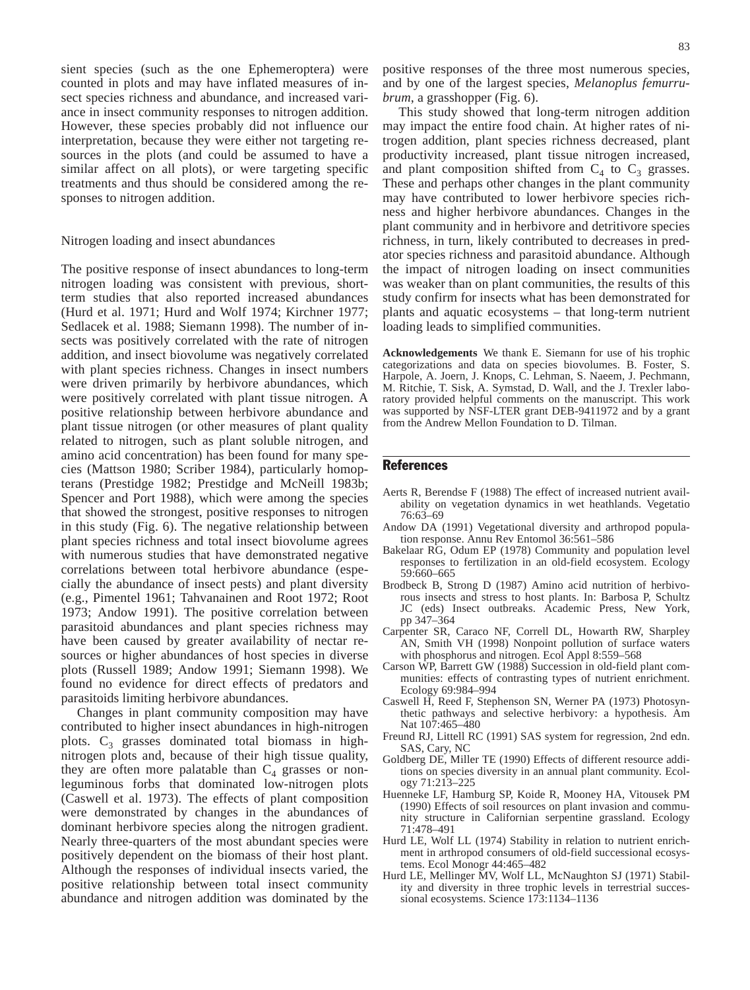sient species (such as the one Ephemeroptera) were counted in plots and may have inflated measures of insect species richness and abundance, and increased variance in insect community responses to nitrogen addition. However, these species probably did not influence our interpretation, because they were either not targeting resources in the plots (and could be assumed to have a similar affect on all plots), or were targeting specific treatments and thus should be considered among the responses to nitrogen addition.

## Nitrogen loading and insect abundances

The positive response of insect abundances to long-term nitrogen loading was consistent with previous, shortterm studies that also reported increased abundances (Hurd et al. 1971; Hurd and Wolf 1974; Kirchner 1977; Sedlacek et al. 1988; Siemann 1998). The number of insects was positively correlated with the rate of nitrogen addition, and insect biovolume was negatively correlated with plant species richness. Changes in insect numbers were driven primarily by herbivore abundances, which were positively correlated with plant tissue nitrogen. A positive relationship between herbivore abundance and plant tissue nitrogen (or other measures of plant quality related to nitrogen, such as plant soluble nitrogen, and amino acid concentration) has been found for many species (Mattson 1980; Scriber 1984), particularly homopterans (Prestidge 1982; Prestidge and McNeill 1983b; Spencer and Port 1988), which were among the species that showed the strongest, positive responses to nitrogen in this study (Fig. 6). The negative relationship between plant species richness and total insect biovolume agrees with numerous studies that have demonstrated negative correlations between total herbivore abundance (especially the abundance of insect pests) and plant diversity (e.g., Pimentel 1961; Tahvanainen and Root 1972; Root 1973; Andow 1991). The positive correlation between parasitoid abundances and plant species richness may have been caused by greater availability of nectar resources or higher abundances of host species in diverse plots (Russell 1989; Andow 1991; Siemann 1998). We found no evidence for direct effects of predators and parasitoids limiting herbivore abundances.

Changes in plant community composition may have contributed to higher insect abundances in high-nitrogen plots.  $C_3$  grasses dominated total biomass in highnitrogen plots and, because of their high tissue quality, they are often more palatable than  $C_4$  grasses or nonleguminous forbs that dominated low-nitrogen plots (Caswell et al. 1973). The effects of plant composition were demonstrated by changes in the abundances of dominant herbivore species along the nitrogen gradient. Nearly three-quarters of the most abundant species were positively dependent on the biomass of their host plant. Although the responses of individual insects varied, the positive relationship between total insect community abundance and nitrogen addition was dominated by the positive responses of the three most numerous species, and by one of the largest species, *Melanoplus femurrubrum*, a grasshopper (Fig. 6).

This study showed that long-term nitrogen addition may impact the entire food chain. At higher rates of nitrogen addition, plant species richness decreased, plant productivity increased, plant tissue nitrogen increased, and plant composition shifted from  $C_4$  to  $C_3$  grasses. These and perhaps other changes in the plant community may have contributed to lower herbivore species richness and higher herbivore abundances. Changes in the plant community and in herbivore and detritivore species richness, in turn, likely contributed to decreases in predator species richness and parasitoid abundance. Although the impact of nitrogen loading on insect communities was weaker than on plant communities, the results of this study confirm for insects what has been demonstrated for plants and aquatic ecosystems – that long-term nutrient loading leads to simplified communities.

**Acknowledgements** We thank E. Siemann for use of his trophic categorizations and data on species biovolumes. B. Foster, S. Harpole, A. Joern, J. Knops, C. Lehman, S. Naeem, J. Pechmann, M. Ritchie, T. Sisk, A. Symstad, D. Wall, and the J. Trexler laboratory provided helpful comments on the manuscript. This work was supported by NSF-LTER grant DEB-9411972 and by a grant from the Andrew Mellon Foundation to D. Tilman.

## **References**

- Aerts R, Berendse F (1988) The effect of increased nutrient availability on vegetation dynamics in wet heathlands. Vegetatio 76:63–69
- Andow DA (1991) Vegetational diversity and arthropod population response. Annu Rev Entomol 36:561–586
- Bakelaar RG, Odum EP (1978) Community and population level responses to fertilization in an old-field ecosystem. Ecology 59:660–665
- Brodbeck B, Strong D (1987) Amino acid nutrition of herbivorous insects and stress to host plants. In: Barbosa P, Schultz JC (eds) Insect outbreaks. Academic Press, New York, pp 347–364
- Carpenter SR, Caraco NF, Correll DL, Howarth RW, Sharpley AN, Smith VH (1998) Nonpoint pollution of surface waters with phosphorus and nitrogen. Ecol Appl 8:559–568
- Carson WP, Barrett GW (1988) Succession in old-field plant communities: effects of contrasting types of nutrient enrichment. Ecology 69:984–994
- Caswell H, Reed F, Stephenson SN, Werner PA (1973) Photosynthetic pathways and selective herbivory: a hypothesis. Am Nat 107:465–480
- Freund RJ, Littell RC (1991) SAS system for regression, 2nd edn. SAS, Cary, NC
- Goldberg DE, Miller TE (1990) Effects of different resource additions on species diversity in an annual plant community. Ecology 71:213–225
- Huenneke LF, Hamburg SP, Koide R, Mooney HA, Vitousek PM (1990) Effects of soil resources on plant invasion and community structure in Californian serpentine grassland. Ecology 71:478–491
- Hurd LE, Wolf LL (1974) Stability in relation to nutrient enrichment in arthropod consumers of old-field successional ecosystems. Ecol Monogr 44:465–482
- Hurd LE, Mellinger MV, Wolf LL, McNaughton SJ (1971) Stability and diversity in three trophic levels in terrestrial successional ecosystems. Science 173:1134–1136